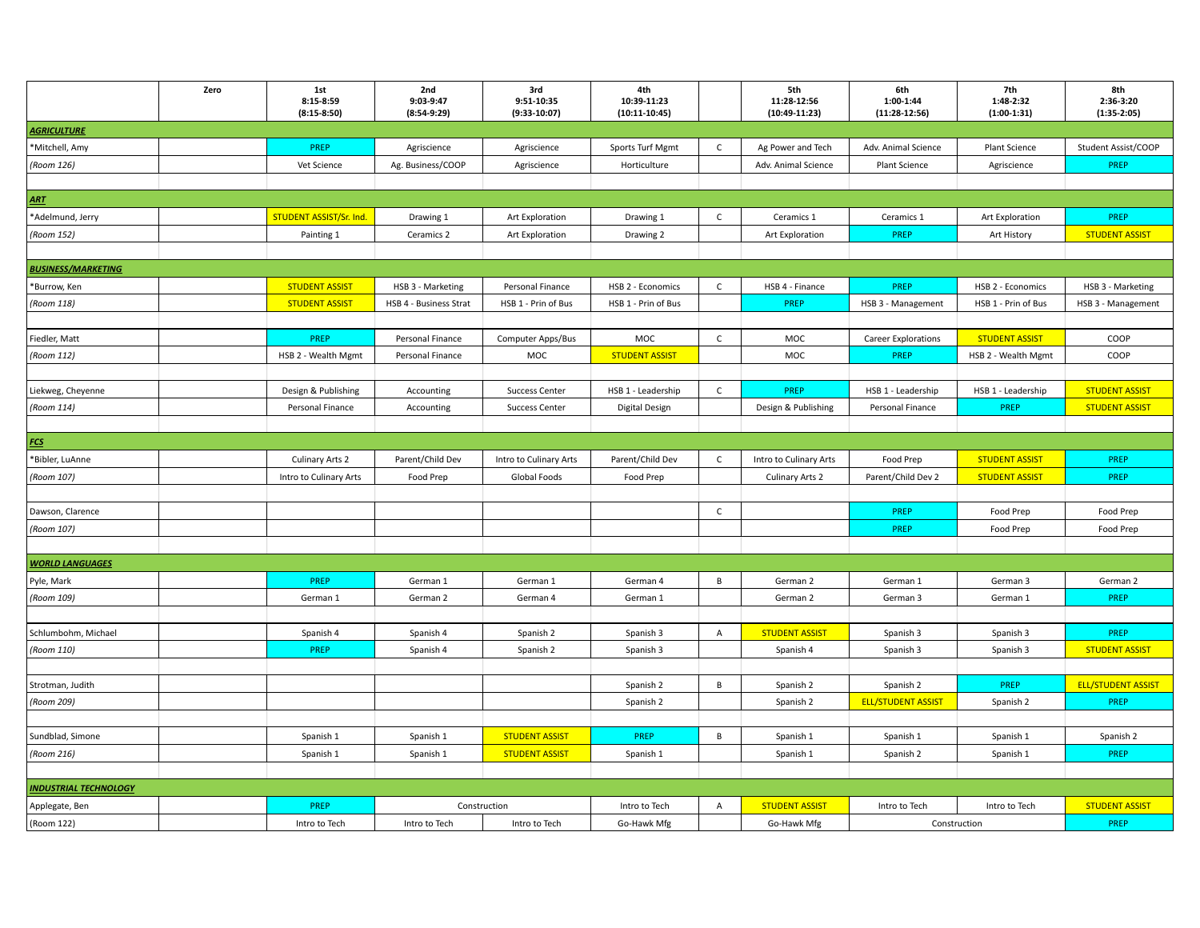|                              | Zero | 1st<br>8:15-8:59<br>$(8:15-8:50)$ | 2nd<br>9:03-9:47<br>$(8:54-9:29)$ | 3rd<br>9:51-10:35<br>$(9:33-10:07)$ | 4th<br>10:39-11:23<br>$(10:11-10:45)$ |              | 5th<br>11:28-12:56<br>$(10:49-11:23)$ | 6th<br>1:00-1:44<br>$(11:28-12:56)$ | 7th<br>1:48-2:32<br>$(1:00-1:31)$ | 8th<br>2:36-3:20<br>$(1:35-2:05)$ |
|------------------------------|------|-----------------------------------|-----------------------------------|-------------------------------------|---------------------------------------|--------------|---------------------------------------|-------------------------------------|-----------------------------------|-----------------------------------|
| <b>AGRICULTURE</b>           |      |                                   |                                   |                                     |                                       |              |                                       |                                     |                                   |                                   |
| *Mitchell, Amy               |      | PREP                              | Agriscience                       | Agriscience                         | Sports Turf Mgmt                      | $\mathsf{C}$ | Ag Power and Tech                     | Adv. Animal Science                 | Plant Science                     | Student Assist/COOP               |
| (Room 126)                   |      | Vet Science                       | Ag. Business/COOP                 | Agriscience                         | Horticulture                          |              | Adv. Animal Science                   | Plant Science                       | Agriscience                       | PREP                              |
|                              |      |                                   |                                   |                                     |                                       |              |                                       |                                     |                                   |                                   |
| <b>ART</b>                   |      |                                   |                                   |                                     |                                       |              |                                       |                                     |                                   |                                   |
| *Adelmund, Jerry             |      | STUDENT ASSIST/Sr. Ind.           | Drawing 1                         | <b>Art Exploration</b>              | Drawing 1                             | $\mathsf C$  | Ceramics 1                            | Ceramics 1                          | Art Exploration                   | PREP                              |
| (Room 152)                   |      | Painting 1                        | Ceramics 2                        | Art Exploration                     | Drawing 2                             |              | Art Exploration                       | PREP                                | Art History                       | <b>STUDENT ASSIST</b>             |
|                              |      |                                   |                                   |                                     |                                       |              |                                       |                                     |                                   |                                   |
| <b>BUSINESS/MARKETING</b>    |      |                                   |                                   |                                     |                                       |              |                                       |                                     |                                   |                                   |
| Burrow, Ken                  |      | <b>STUDENT ASSIST</b>             | HSB 3 - Marketing                 | Personal Finance                    | HSB 2 - Economics                     | C            | HSB 4 - Finance                       | <b>PREP</b>                         | HSB 2 - Economics                 | HSB 3 - Marketing                 |
| (Room 118)                   |      | <b>STUDENT ASSIST</b>             | HSB 4 - Business Strat            | HSB 1 - Prin of Bus                 | HSB 1 - Prin of Bus                   |              | PREP                                  | HSB 3 - Management                  | HSB 1 - Prin of Bus               | HSB 3 - Management                |
|                              |      |                                   |                                   |                                     |                                       |              |                                       |                                     |                                   |                                   |
| Fiedler, Matt                |      | PREP                              | Personal Finance                  | Computer Apps/Bus                   | MOC                                   | $\mathsf{C}$ | MOC                                   | <b>Career Explorations</b>          | <b>STUDENT ASSIST</b>             | COOP                              |
| (Room 112)                   |      | HSB 2 - Wealth Mgmt               | Personal Finance                  | MOC                                 | <b>STUDENT ASSIST</b>                 |              | MOC                                   | <b>PREP</b>                         | HSB 2 - Wealth Mgmt               | COOP                              |
|                              |      |                                   |                                   |                                     |                                       |              |                                       |                                     |                                   |                                   |
| Liekweg, Cheyenne            |      | Design & Publishing               | Accounting                        | <b>Success Center</b>               | HSB 1 - Leadership                    | $\mathsf{C}$ | PREP                                  | HSB 1 - Leadership                  | HSB 1 - Leadership                | <b>STUDENT ASSIST</b>             |
| (Room 114)                   |      | Personal Finance                  | Accounting                        | <b>Success Center</b>               | Digital Design                        |              | Design & Publishing                   | Personal Finance                    | <b>PREP</b>                       | <b>STUDENT ASSIST</b>             |
|                              |      |                                   |                                   |                                     |                                       |              |                                       |                                     |                                   |                                   |
| <b>FCS</b>                   |      |                                   |                                   |                                     |                                       |              |                                       |                                     |                                   |                                   |
| *Bibler, LuAnne              |      | <b>Culinary Arts 2</b>            | Parent/Child Dev                  | Intro to Culinary Arts              | Parent/Child Dev                      | $\mathsf{C}$ | Intro to Culinary Arts                | Food Prep                           | <b>STUDENT ASSIST</b>             | PREP                              |
| (Room 107)                   |      | Intro to Culinary Arts            | Food Prep                         | Global Foods                        | Food Prep                             |              | Culinary Arts 2                       | Parent/Child Dev 2                  | <b>STUDENT ASSIST</b>             | PREP                              |
|                              |      |                                   |                                   |                                     |                                       |              |                                       |                                     |                                   |                                   |
| Dawson, Clarence             |      |                                   |                                   |                                     |                                       | $\mathsf{C}$ |                                       | PREP                                | Food Prep                         | Food Prep                         |
| (Room 107)                   |      |                                   |                                   |                                     |                                       |              |                                       | PREP                                | Food Prep                         | Food Prep                         |
|                              |      |                                   |                                   |                                     |                                       |              |                                       |                                     |                                   |                                   |
| <b>WORLD LANGUAGES</b>       |      |                                   |                                   |                                     |                                       |              |                                       |                                     |                                   |                                   |
| Pyle, Mark                   |      | PREP                              | German 1                          | German 1                            | German 4                              | B            | German 2                              | German 1                            | German 3                          | German 2                          |
| (Room 109)                   |      | German 1                          | German 2                          | German 4                            | German 1                              |              | German 2                              | German 3                            | German 1                          | PREP                              |
|                              |      |                                   |                                   |                                     |                                       |              |                                       |                                     |                                   |                                   |
| Schlumbohm, Michael          |      | Spanish 4                         | Spanish 4                         | Spanish 2                           | Spanish 3                             | A            | <b>STUDENT ASSIST</b>                 | Spanish 3                           | Spanish 3                         | PREP                              |
| (Room 110)                   |      | PREP                              | Spanish 4                         | Spanish 2                           | Spanish 3                             |              | Spanish 4                             | Spanish 3                           | Spanish 3                         | <b>STUDENT ASSIST</b>             |
|                              |      |                                   |                                   |                                     |                                       |              |                                       |                                     |                                   |                                   |
| Strotman, Judith             |      |                                   |                                   |                                     | Spanish 2                             | $\mathsf{B}$ | Spanish 2                             | Spanish 2                           | PREP                              | <b>ELL/STUDENT ASSIST</b>         |
| (Room 209)                   |      |                                   |                                   |                                     | Spanish 2                             |              | Spanish 2                             | <b>ELL/STUDENT ASSIST</b>           | Spanish 2                         | PREP                              |
|                              |      |                                   |                                   |                                     |                                       |              |                                       |                                     |                                   |                                   |
| Sundblad, Simone             |      | Spanish 1                         | Spanish 1                         | <b>STUDENT ASSIST</b>               | PREP                                  | B            | Spanish 1                             | Spanish 1                           | Spanish 1                         | Spanish 2                         |
| (Room 216)                   |      | Spanish 1                         | Spanish 1                         | <b>STUDENT ASSIST</b>               | Spanish 1                             |              | Spanish 1                             | Spanish 2                           | Spanish 1                         | PREP                              |
|                              |      |                                   |                                   |                                     |                                       |              |                                       |                                     |                                   |                                   |
| <b>INDUSTRIAL TECHNOLOGY</b> |      |                                   |                                   |                                     |                                       |              |                                       |                                     |                                   |                                   |
| Applegate, Ben               |      | <b>PREP</b>                       |                                   | Construction                        | Intro to Tech                         | A            | <b>STUDENT ASSIST</b>                 | Intro to Tech                       | Intro to Tech                     | <b>STUDENT ASSIST</b>             |
| (Room 122)                   |      | Intro to Tech                     | Intro to Tech                     | Intro to Tech                       | Go-Hawk Mfg                           |              | Go-Hawk Mfg                           |                                     | Construction                      | PREP                              |
|                              |      |                                   |                                   |                                     |                                       |              |                                       |                                     |                                   |                                   |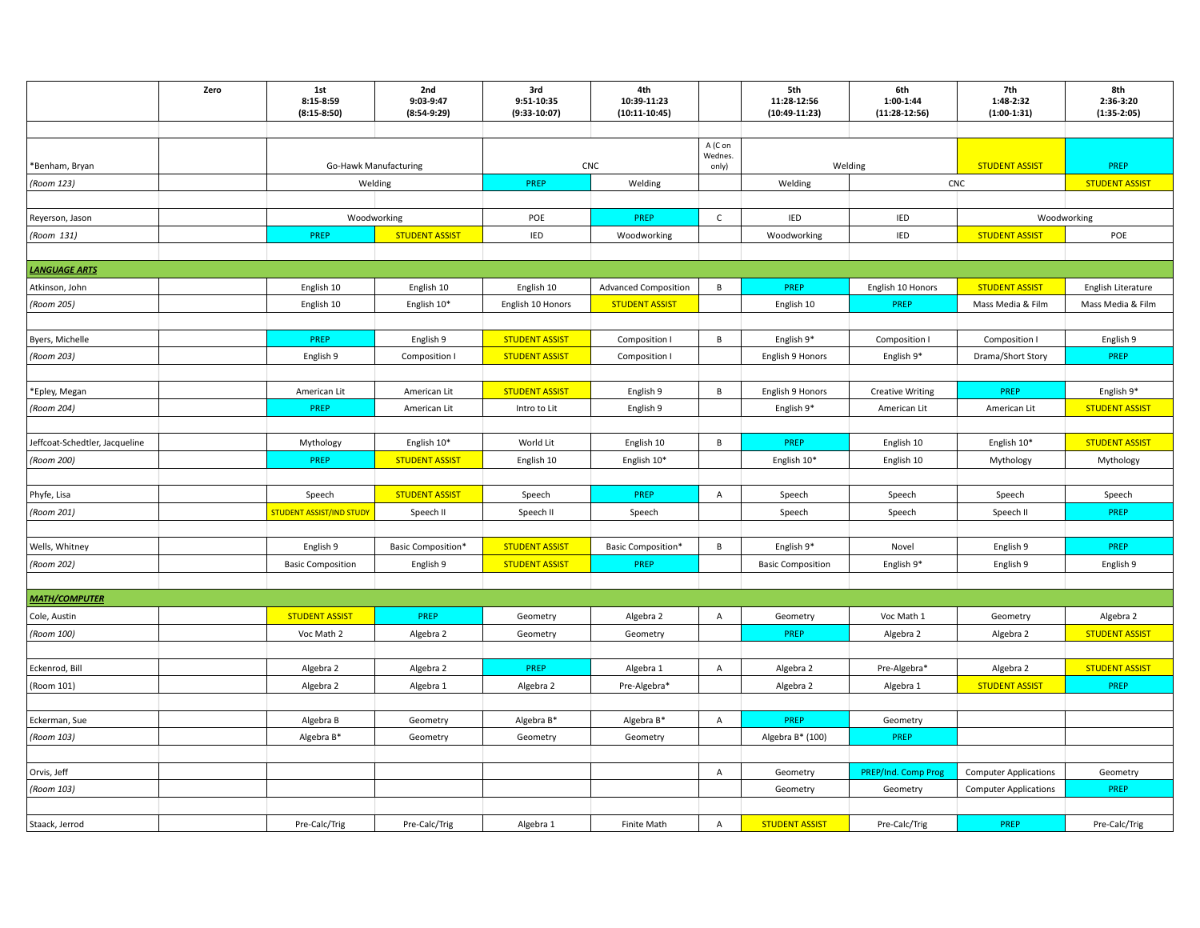|                                | Zero | 1st<br>8:15-8:59<br>$(8:15-8:50)$     | 2nd<br>9:03-9:47<br>$(8:54-9:29)$ | 3rd<br>9:51-10:35<br>$(9:33-10:07)$ | 4th<br>10:39-11:23<br>$(10:11-10:45)$ |                  | 5th<br>11:28-12:56<br>$(10:49-11:23)$ | 6th<br>1:00-1:44<br>$(11:28-12:56)$ | 7th<br>1:48-2:32<br>$(1:00-1:31)$ | 8th<br>2:36-3:20<br>$(1:35-2:05)$ |
|--------------------------------|------|---------------------------------------|-----------------------------------|-------------------------------------|---------------------------------------|------------------|---------------------------------------|-------------------------------------|-----------------------------------|-----------------------------------|
|                                |      |                                       |                                   |                                     |                                       |                  |                                       |                                     |                                   |                                   |
|                                |      |                                       |                                   |                                     |                                       | A (C on          |                                       |                                     |                                   |                                   |
| *Benham, Bryan                 |      | Go-Hawk Manufacturing                 |                                   | CNC                                 |                                       | Wednes.<br>only) |                                       | Welding                             | <b>STUDENT ASSIST</b>             | PREP                              |
| (Room 123)                     |      | Welding                               |                                   | PREP<br>Welding                     |                                       |                  | Welding                               |                                     | CNC                               | <b>STUDENT ASSIST</b>             |
|                                |      |                                       |                                   |                                     |                                       |                  |                                       |                                     |                                   |                                   |
| Reyerson, Jason                |      | Woodworking                           |                                   | POE                                 | PREP                                  | $\mathsf{C}$     | IED                                   | IED                                 | Woodworking                       |                                   |
| (Room 131)                     |      | PREP                                  | <b>STUDENT ASSIST</b>             | IED                                 | Woodworking                           |                  | Woodworking                           | IED                                 | <b>STUDENT ASSIST</b>             | POE                               |
|                                |      |                                       |                                   |                                     |                                       |                  |                                       |                                     |                                   |                                   |
| <b>LANGUAGE ARTS</b>           |      |                                       |                                   |                                     |                                       |                  |                                       |                                     |                                   |                                   |
| Atkinson, John                 |      | English 10                            | English 10                        | English 10                          | <b>Advanced Composition</b>           | B                | PREP                                  | English 10 Honors                   | <b>STUDENT ASSIST</b>             | English Literature                |
| (Room 205)                     |      | English 10                            | English 10*                       | English 10 Honors                   | <b>STUDENT ASSIST</b>                 |                  | English 10                            | PREP                                | Mass Media & Film                 | Mass Media & Film                 |
|                                |      |                                       |                                   |                                     |                                       |                  |                                       |                                     |                                   |                                   |
| Byers, Michelle                |      | PREP                                  | English 9                         | <b>STUDENT ASSIST</b>               | Composition I                         | $\, {\bf B}$     | English 9*                            | Composition I                       | Composition I                     | English 9                         |
| (Room 203)                     |      | English 9                             | Composition I                     | <b>STUDENT ASSIST</b>               | Composition I                         |                  | English 9 Honors                      | English 9*                          | Drama/Short Story                 | PREP                              |
|                                |      |                                       |                                   |                                     |                                       |                  |                                       |                                     |                                   |                                   |
| *Epley, Megan                  |      | American Lit                          | American Lit                      | <b>STUDENT ASSIST</b>               | English 9                             | $\, {\bf B}$     | English 9 Honors                      | <b>Creative Writing</b>             | PREP                              | English 9*                        |
| (Room 204)                     |      | PREP                                  | American Lit                      | Intro to Lit                        | English 9                             |                  | English 9*                            | American Lit                        | American Lit                      | <b>STUDENT ASSIST</b>             |
|                                |      |                                       |                                   |                                     |                                       |                  |                                       |                                     |                                   |                                   |
| Jeffcoat-Schedtler, Jacqueline |      | Mythology                             | English 10*                       | World Lit                           | English 10                            | B                | <b>PREP</b>                           | English 10                          | English 10*                       | <b>STUDENT ASSIST</b>             |
| (Room 200)                     |      | PREP                                  | <b>STUDENT ASSIST</b>             | English 10                          | English 10*                           |                  | English 10*                           | English 10                          | Mythology                         | Mythology                         |
|                                |      |                                       |                                   |                                     |                                       |                  |                                       |                                     |                                   |                                   |
| Phyfe, Lisa                    |      | Speech                                | <b>STUDENT ASSIST</b>             | Speech                              | PREP                                  | $\overline{A}$   | Speech                                | Speech                              | Speech                            | Speech                            |
| (Room 201)                     |      | <mark>STUDENT ASSIST/IND STUDY</mark> | Speech II                         | Speech II                           | Speech                                |                  | Speech                                | Speech                              | Speech II                         | PREP                              |
|                                |      |                                       |                                   |                                     |                                       |                  |                                       |                                     |                                   |                                   |
| Wells, Whitney                 |      | English 9                             | Basic Composition*                | <b>STUDENT ASSIST</b>               | <b>Basic Composition*</b>             | B                | English 9*                            | Novel                               | English 9                         | PREP                              |
| (Room 202)                     |      | <b>Basic Composition</b>              | English 9                         | <b>STUDENT ASSIST</b>               | PREP                                  |                  | <b>Basic Composition</b>              | English 9*                          | English 9                         | English 9                         |
|                                |      |                                       |                                   |                                     |                                       |                  |                                       |                                     |                                   |                                   |
| <b>MATH/COMPUTER</b>           |      |                                       |                                   |                                     |                                       |                  |                                       |                                     |                                   |                                   |
| Cole, Austin                   |      | <b>STUDENT ASSIST</b>                 | PREP                              | Geometry                            | Algebra 2                             | $\overline{A}$   | Geometry                              | Voc Math 1                          | Geometry                          | Algebra 2                         |
| (Room 100)                     |      | Voc Math 2                            | Algebra 2                         | Geometry                            | Geometry                              |                  | PREP                                  | Algebra 2                           | Algebra 2                         | <b>STUDENT ASSIS</b>              |
|                                |      |                                       |                                   |                                     |                                       |                  |                                       |                                     |                                   |                                   |
| Eckenrod, Bill                 |      | Algebra 2                             | Algebra 2                         | <b>PREP</b>                         | Algebra 1                             | A                | Algebra 2                             | Pre-Algebra*                        | Algebra 2                         | <b>STUDENT ASSIST</b>             |
| (Room 101)                     |      | Algebra 2                             | Algebra 1                         | Algebra 2                           | Pre-Algebra*                          |                  | Algebra 2                             | Algebra 1                           | <b>STUDENT ASSIST</b>             | <b>PREP</b>                       |
|                                |      |                                       |                                   |                                     |                                       |                  |                                       |                                     |                                   |                                   |
| Eckerman, Sue                  |      | Algebra B                             | Geometry                          | Algebra B*                          | Algebra B*                            | Α                | <b>PREP</b>                           | Geometry                            |                                   |                                   |
| (Room 103)                     |      | Algebra B*                            | Geometry                          | Geometry                            | Geometry                              |                  | Algebra B* (100)                      | PREP                                |                                   |                                   |
|                                |      |                                       |                                   |                                     |                                       |                  |                                       |                                     |                                   |                                   |
| Orvis, Jeff                    |      |                                       |                                   |                                     |                                       | $\overline{A}$   | Geometry                              | PREP/Ind. Comp Prog                 | <b>Computer Applications</b>      | Geometry                          |
| (Room 103)                     |      |                                       |                                   |                                     |                                       |                  | Geometry                              | Geometry                            | <b>Computer Applications</b>      | PREP                              |
|                                |      |                                       |                                   |                                     |                                       |                  |                                       |                                     |                                   |                                   |
| Staack, Jerrod                 |      | Pre-Calc/Trig                         | Pre-Calc/Trig                     | Algebra 1                           | Finite Math                           | A                | <b>STUDENT ASSIST</b>                 | Pre-Calc/Trig                       | PREP                              | Pre-Calc/Trig                     |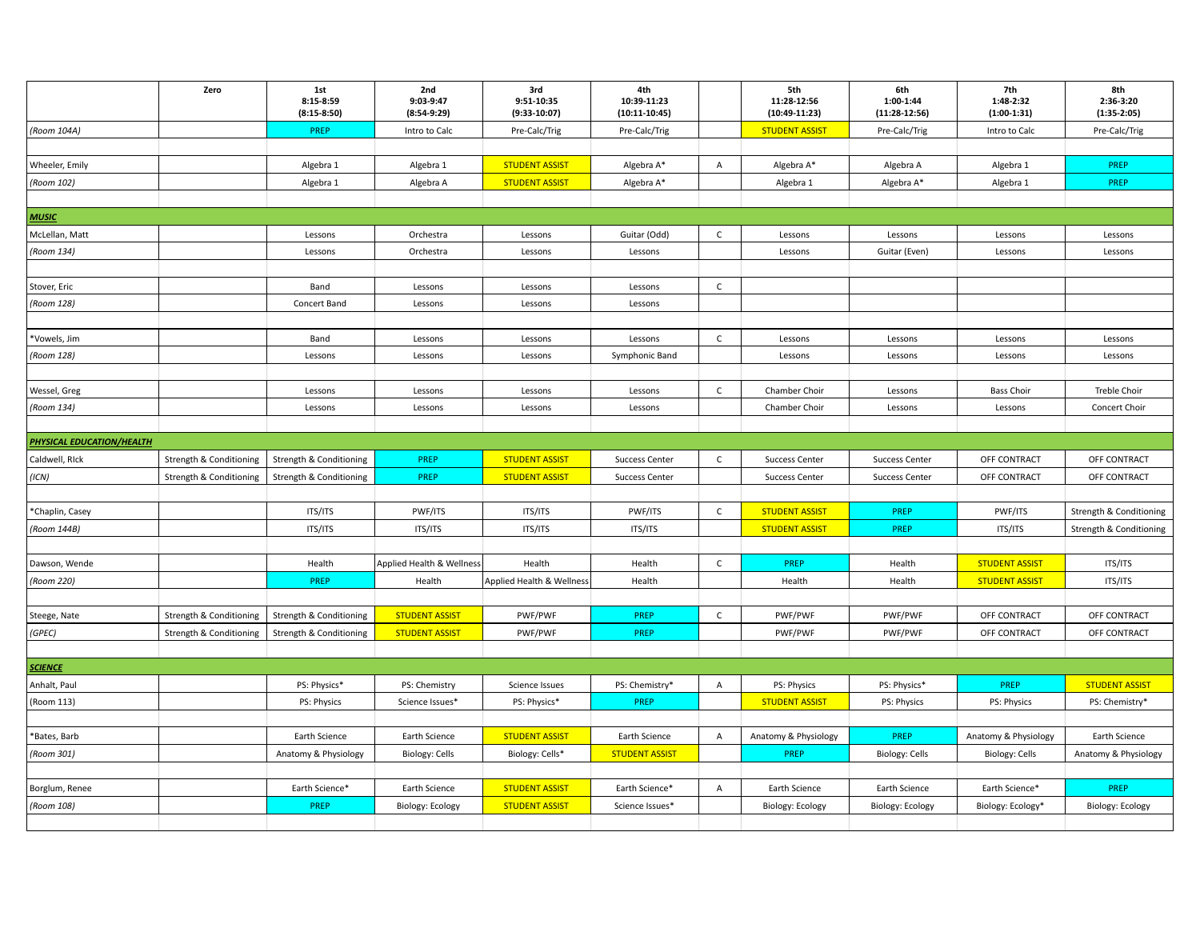|                             | Zero                    | 1st<br>8:15-8:59<br>$(8:15-8:50)$ | 2nd<br>9:03-9:47<br>$(8:54-9:29)$   | 3rd<br>9:51-10:35<br>$(9:33-10:07)$ | 4th<br>10:39-11:23<br>$(10:11-10:45)$ |                | 5th<br>11:28-12:56<br>$(10:49-11:23)$ | 6th<br>1:00-1:44<br>$(11:28-12:56)$ | 7th<br>1:48-2:32<br>$(1:00-1:31)$ | 8th<br>2:36-3:20<br>$(1:35-2:05)$ |
|-----------------------------|-------------------------|-----------------------------------|-------------------------------------|-------------------------------------|---------------------------------------|----------------|---------------------------------------|-------------------------------------|-----------------------------------|-----------------------------------|
| (Room 104A)                 |                         | PREP                              | Intro to Calc                       | Pre-Calc/Trig                       | Pre-Calc/Trig                         |                | <b>STUDENT ASSIST</b>                 | Pre-Calc/Trig                       | Intro to Calc                     | Pre-Calc/Trig                     |
|                             |                         |                                   |                                     |                                     |                                       |                |                                       |                                     |                                   |                                   |
| Wheeler, Emily              |                         | Algebra 1                         | Algebra 1                           | <b>STUDENT ASSIST</b>               | Algebra A*                            | $\overline{A}$ | Algebra A*                            | Algebra A                           | Algebra 1                         | PREP                              |
| (Room 102)                  |                         | Algebra 1                         | Algebra A                           | <b>STUDENT ASSIST</b>               | Algebra A*                            |                | Algebra 1                             | Algebra A*                          | Algebra 1                         | PREP                              |
|                             |                         |                                   |                                     |                                     |                                       |                |                                       |                                     |                                   |                                   |
| <b>MUSIC</b>                |                         |                                   |                                     |                                     |                                       |                |                                       |                                     |                                   |                                   |
| McLellan, Matt              |                         | Lessons                           | Orchestra                           | Lessons                             | Guitar (Odd)                          | $\mathsf{C}$   | Lessons                               | Lessons                             | Lessons                           | Lessons                           |
| (Room 134)                  |                         | Lessons                           | Orchestra                           | Lessons                             | Lessons                               |                | Lessons                               | Guitar (Even)                       | Lessons                           | Lessons                           |
|                             |                         |                                   |                                     |                                     |                                       |                |                                       |                                     |                                   |                                   |
| Stover, Eric                |                         | Band                              | Lessons                             | Lessons                             | Lessons                               | $\mathsf{C}$   |                                       |                                     |                                   |                                   |
| (Room 128)                  |                         | Concert Band                      | Lessons                             | Lessons                             | Lessons                               |                |                                       |                                     |                                   |                                   |
|                             |                         |                                   |                                     |                                     |                                       |                |                                       |                                     |                                   |                                   |
| *Vowels, Jim                |                         | Band                              | Lessons                             | Lessons                             | Lessons                               | $\mathsf{C}$   | Lessons                               | Lessons                             | Lessons                           | Lessons                           |
| (Room 128)                  |                         | Lessons                           | Lessons                             | Lessons                             | Symphonic Band                        |                | Lessons                               | Lessons                             | Lessons                           | Lessons                           |
|                             |                         |                                   |                                     |                                     |                                       |                |                                       |                                     |                                   |                                   |
| Wessel, Greg                |                         | Lessons                           | Lessons                             | Lessons                             | Lessons                               | $\mathsf{C}$   | Chamber Choir                         | Lessons                             | <b>Bass Choir</b>                 | <b>Treble Choir</b>               |
| (Room 134)                  |                         | Lessons                           | Lessons                             | Lessons                             | Lessons                               |                | Chamber Choir                         | Lessons                             | Lessons                           | Concert Choir                     |
|                             |                         |                                   |                                     |                                     |                                       |                |                                       |                                     |                                   |                                   |
| PHYSICAL EDUCATION/HEALTH   |                         |                                   |                                     |                                     |                                       |                |                                       |                                     |                                   |                                   |
| Caldwell, RIck              | Strength & Conditioning | Strength & Conditioning           | PREP                                | <b>STUDENT ASSIST</b>               | <b>Success Center</b>                 | $\mathsf{C}$   | <b>Success Center</b>                 | <b>Success Center</b>               | OFF CONTRACT                      | OFF CONTRACT                      |
| (ICN)                       | Strength & Conditioning | Strength & Conditioning           | PREP                                | <b>STUDENT ASSIST</b>               | <b>Success Center</b>                 |                | <b>Success Center</b>                 | <b>Success Center</b>               | OFF CONTRACT                      | OFF CONTRACT                      |
|                             |                         |                                   |                                     |                                     |                                       |                |                                       |                                     |                                   |                                   |
| *Chaplin, Casey             |                         | <b>ITS/ITS</b>                    | PWF/ITS                             | ITS/ITS                             | PWF/ITS                               | $\mathsf{C}$   | <b>STUDENT ASSIST</b>                 | PREP                                | PWF/ITS                           | Strength & Conditioning           |
| (Room 144B)                 |                         | ITS/ITS                           | ITS/ITS                             | ITS/ITS                             | ITS/ITS                               |                | <b>STUDENT ASSIST</b>                 | PREP                                | ITS/ITS                           | Strength & Conditioning           |
|                             |                         |                                   |                                     |                                     |                                       |                |                                       |                                     |                                   |                                   |
| Dawson, Wende<br>(Room 220) |                         | Health<br>PREP                    | Applied Health & Wellness<br>Health | Health<br>Applied Health & Wellness | Health<br>Health                      | $\mathsf{C}$   | PREP<br>Health                        | Health<br>Health                    | <b>STUDENT ASSIST</b>             | ITS/ITS<br>ITS/ITS                |
|                             |                         |                                   |                                     |                                     |                                       |                |                                       |                                     | <b>STUDENT ASSIST</b>             |                                   |
| Steege, Nate                | Strength & Conditioning | Strength & Conditioning           | <b>STUDENT ASSIST</b>               | PWF/PWF                             | PREP                                  | $\mathsf{C}$   | PWF/PWF                               | PWF/PWF                             | OFF CONTRACT                      | OFF CONTRACT                      |
| (GPEC)                      | Strength & Conditioning | Strength & Conditioning           | <b>STUDENT ASSIST</b>               | PWF/PWF                             | PREP                                  |                | PWF/PWF                               | PWF/PWF                             | OFF CONTRACT                      | OFF CONTRACT                      |
|                             |                         |                                   |                                     |                                     |                                       |                |                                       |                                     |                                   |                                   |
| <b>SCIENCE</b>              |                         |                                   |                                     |                                     |                                       |                |                                       |                                     |                                   |                                   |
| Anhalt, Paul                |                         | PS: Physics*                      | PS: Chemistry                       | Science Issues                      | PS: Chemistry*                        | A              | PS: Physics                           | PS: Physics*                        | PREP                              | <b>STUDENT ASSIST</b>             |
| (Room 113)                  |                         | PS: Physics                       | Science Issues*                     | PS: Physics*                        | PREP                                  |                | <b>STUDENT ASSIST</b>                 | PS: Physics                         | PS: Physics                       | PS: Chemistry*                    |
|                             |                         |                                   |                                     |                                     |                                       |                |                                       |                                     |                                   |                                   |
| *Bates, Barb                |                         | Earth Science                     | Earth Science                       | <b>STUDENT ASSIST</b>               | Earth Science                         | $\mathsf{A}$   | Anatomy & Physiology                  | PREP                                | Anatomy & Physiology              | Earth Science                     |
| (Room 301)                  |                         | Anatomy & Physiology              | <b>Biology: Cells</b>               | Biology: Cells*                     | <b>STUDENT ASSIST</b>                 |                | PREP                                  | <b>Biology: Cells</b>               | <b>Biology: Cells</b>             | Anatomy & Physiology              |
|                             |                         |                                   |                                     |                                     |                                       |                |                                       |                                     |                                   |                                   |
| Borglum, Renee              |                         | Earth Science*                    | Earth Science                       | <b>STUDENT ASSIST</b>               | Earth Science*                        | $\overline{A}$ | Earth Science                         | Earth Science                       | Earth Science*                    | PREP                              |
| (Room 108)                  |                         | PREP                              | Biology: Ecology                    | <b>STUDENT ASSIST</b>               | Science Issues*                       |                | Biology: Ecology                      | Biology: Ecology                    | Biology: Ecology*                 | Biology: Ecology                  |
|                             |                         |                                   |                                     |                                     |                                       |                |                                       |                                     |                                   |                                   |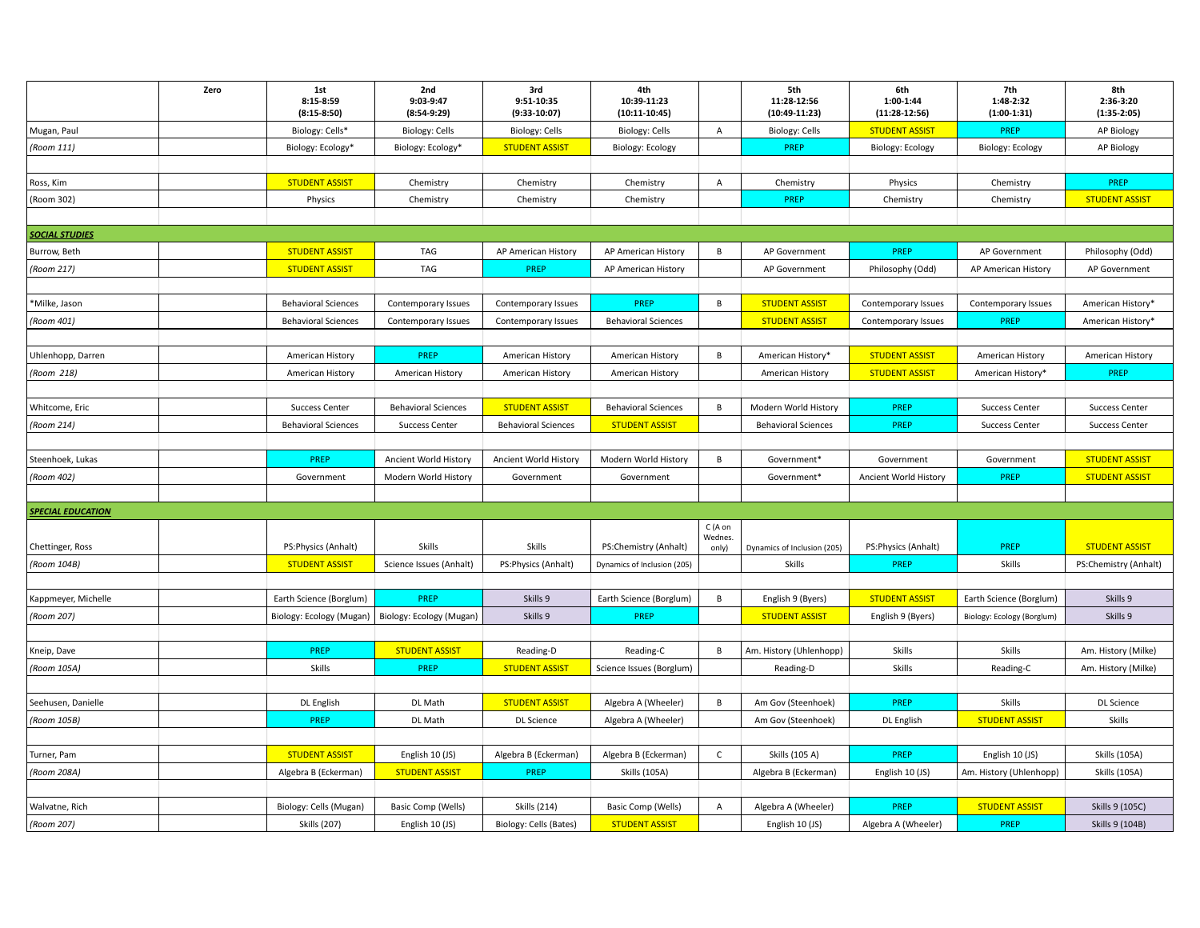|                          | Zero | 1st<br>8:15-8:59<br>$(8:15-8:50)$ | 2nd<br>9:03-9:47<br>$(8:54-9:29)$ | 3rd<br>9:51-10:35<br>$(9:33-10:07)$ | 4th<br>10:39-11:23<br>$(10:11-10:45)$ |                    | 5th<br>11:28-12:56<br>$(10:49-11:23)$ | 6th<br>1:00-1:44<br>$(11:28-12:56)$ | 7th<br>1:48-2:32<br>$(1:00-1:31)$ | 8th<br>2:36-3:20<br>$(1:35-2:05)$ |
|--------------------------|------|-----------------------------------|-----------------------------------|-------------------------------------|---------------------------------------|--------------------|---------------------------------------|-------------------------------------|-----------------------------------|-----------------------------------|
| Mugan, Paul              |      | Biology: Cells*                   | Biology: Cells                    | Biology: Cells                      | <b>Biology: Cells</b>                 | A                  | <b>Biology: Cells</b>                 | <b>STUDENT ASSIST</b>               | PREP                              | AP Biology                        |
| (Room 111)               |      | Biology: Ecology*                 | Biology: Ecology*                 | <b>STUDENT ASSIST</b>               | Biology: Ecology                      |                    | PREP                                  | Biology: Ecology                    | Biology: Ecology                  | AP Biology                        |
|                          |      |                                   |                                   |                                     |                                       |                    |                                       |                                     |                                   |                                   |
| Ross, Kim                |      | <b>STUDENT ASSIST</b>             | Chemistry                         | Chemistry                           | Chemistry                             | A                  | Chemistry                             | Physics                             | Chemistry                         | PREP                              |
| (Room 302)               |      | Physics                           | Chemistry                         | Chemistry                           | Chemistry                             |                    | PREP                                  | Chemistry                           | Chemistry                         | <b>STUDENT ASSIST</b>             |
|                          |      |                                   |                                   |                                     |                                       |                    |                                       |                                     |                                   |                                   |
| <b>SOCIAL STUDIES</b>    |      |                                   |                                   |                                     |                                       |                    |                                       |                                     |                                   |                                   |
| Burrow, Beth             |      | <b>STUDENT ASSIST</b>             | TAG                               | AP American History                 | AP American History                   | B                  | AP Government                         | <b>PREP</b>                         | AP Government                     | Philosophy (Odd)                  |
| (Room 217)               |      | <b>STUDENT ASSIST</b>             | TAG                               | PREP                                | AP American History                   |                    | AP Government                         | Philosophy (Odd)                    | AP American History               | AP Government                     |
|                          |      |                                   |                                   |                                     |                                       |                    |                                       |                                     |                                   |                                   |
| *Milke, Jason            |      | <b>Behavioral Sciences</b>        | Contemporary Issues               | Contemporary Issues                 | PREP                                  | $\,$ B             | <b>STUDENT ASSIST</b>                 | Contemporary Issues                 | Contemporary Issues               | American History*                 |
| (Room 401)               |      | <b>Behavioral Sciences</b>        | Contemporary Issues               | Contemporary Issues                 | <b>Behavioral Sciences</b>            |                    | <b>STUDENT ASSIST</b>                 | Contemporary Issues                 | PREP                              | American History*                 |
|                          |      |                                   |                                   |                                     |                                       |                    |                                       |                                     |                                   |                                   |
| Uhlenhopp, Darren        |      | American History                  | PREP                              | American History                    | American History                      | B                  | American History*                     | <b>STUDENT ASSIST</b>               | American History                  | American History                  |
| (Room 218)               |      | American History                  | American History                  | American History                    | American History                      |                    | American History                      | <b>STUDENT ASSIST</b>               | American History*                 | <b>PREP</b>                       |
|                          |      |                                   |                                   |                                     |                                       |                    |                                       |                                     |                                   |                                   |
| Whitcome, Eric           |      | <b>Success Center</b>             | <b>Behavioral Sciences</b>        | <b>STUDENT ASSIST</b>               | <b>Behavioral Sciences</b>            | $\, {\bf B}$       | Modern World History                  | PREP                                | <b>Success Center</b>             | <b>Success Center</b>             |
| (Room 214)               |      | <b>Behavioral Sciences</b>        | <b>Success Center</b>             | <b>Behavioral Sciences</b>          | <b>STUDENT ASSIST</b>                 |                    | <b>Behavioral Sciences</b>            | PREP                                | <b>Success Center</b>             | <b>Success Center</b>             |
|                          |      |                                   |                                   |                                     |                                       |                    |                                       |                                     |                                   |                                   |
| Steenhoek, Lukas         |      | PREP                              | Ancient World History             | Ancient World History               | Modern World History                  | B                  | Government*                           | Government                          | Government                        | <b>STUDENT ASSIST</b>             |
| (Room 402)               |      | Government                        | Modern World History              | Government                          | Government                            |                    | Government*                           | Ancient World History               | PREP                              | <b>STUDENT ASSIST</b>             |
|                          |      |                                   |                                   |                                     |                                       |                    |                                       |                                     |                                   |                                   |
| <b>SPECIAL EDUCATION</b> |      |                                   |                                   |                                     |                                       |                    |                                       |                                     |                                   |                                   |
|                          |      |                                   |                                   |                                     |                                       | C (A on<br>Wednes. |                                       |                                     |                                   |                                   |
| Chettinger, Ross         |      | PS: Physics (Anhalt)              | Skills                            | Skills                              | PS:Chemistry (Anhalt)                 | only)              | Dynamics of Inclusion (205)           | PS:Physics (Anhalt)                 | <b>PREP</b>                       | <b>STUDENT ASSIST</b>             |
| (Room 104B)              |      | <b>STUDENT ASSIST</b>             | Science Issues (Anhalt)           | PS:Physics (Anhalt)                 | Dynamics of Inclusion (205)           |                    | Skills                                | <b>PREP</b>                         | Skills                            | PS:Chemistry (Anhalt)             |
|                          |      |                                   |                                   |                                     |                                       |                    |                                       |                                     |                                   |                                   |
| Kappmeyer, Michelle      |      | Earth Science (Borglum)           | PREP                              | Skills 9                            | Earth Science (Borglum)               | B                  | English 9 (Byers)                     | <b>STUDENT ASSIST</b>               | Earth Science (Borglum)           | Skills 9                          |
| (Room 207)               |      | Biology: Ecology (Mugan)          | Biology: Ecology (Mugan)          | Skills 9                            | PREP                                  |                    | <b>STUDENT ASSIST</b>                 | English 9 (Byers)                   | Biology: Ecology (Borglum)        | Skills 9                          |
|                          |      |                                   |                                   |                                     |                                       |                    |                                       |                                     |                                   |                                   |
| Kneip, Dave              |      | PREP                              | <b>STUDENT ASSIST</b>             | Reading-D                           | Reading-C                             | B                  | Am. History (Uhlenhopp)               | Skills                              | <b>Skills</b>                     | Am. History (Milke)               |
| (Room 105A)              |      | Skills                            | PREP                              | <b>STUDENT ASSIST</b>               | Science Issues (Borglum)              |                    | Reading-D                             | Skills                              | Reading-C                         | Am. History (Milke)               |
|                          |      |                                   |                                   |                                     |                                       |                    |                                       |                                     |                                   |                                   |
| Seehusen, Danielle       |      | DL English                        | DL Math                           | <b>STUDENT ASSIST</b>               | Algebra A (Wheeler)                   | $\, {\bf B}$       | Am Gov (Steenhoek)                    | PREP                                | Skills                            | <b>DL Science</b>                 |
| (Room 105B)              |      | PREP                              | DL Math                           | <b>DL Science</b>                   | Algebra A (Wheeler)                   |                    | Am Gov (Steenhoek)                    | DL English                          | <b>STUDENT ASSIST</b>             | Skills                            |
|                          |      |                                   |                                   |                                     |                                       |                    |                                       |                                     |                                   |                                   |
| Turner, Pam              |      | <b>STUDENT ASSIST</b>             | English 10 (JS)                   | Algebra B (Eckerman)                | Algebra B (Eckerman)                  | $\mathsf{C}$       | Skills (105 A)                        | <b>PREP</b>                         | English 10 (JS)                   | <b>Skills (105A)</b>              |
| (Room 208A)              |      | Algebra B (Eckerman)              | <b>STUDENT ASSIST</b>             | <b>PREP</b>                         | <b>Skills (105A)</b>                  |                    | Algebra B (Eckerman)                  | English 10 (JS)                     | Am. History (Uhlenhopp)           | <b>Skills (105A)</b>              |
|                          |      |                                   |                                   |                                     |                                       |                    |                                       |                                     |                                   |                                   |
| Walvatne, Rich           |      | Biology: Cells (Mugan)            | Basic Comp (Wells)                | <b>Skills (214)</b>                 | Basic Comp (Wells)                    | Α                  | Algebra A (Wheeler)                   | <b>PREP</b>                         | <b>STUDENT ASSIST</b>             | Skills 9 (105C)                   |
| (Room 207)               |      | <b>Skills (207)</b>               | English 10 (JS)                   | Biology: Cells (Bates)              | <b>STUDENT ASSIST</b>                 |                    | English 10 (JS)                       | Algebra A (Wheeler)                 | PREP                              | Skills 9 (104B)                   |
|                          |      |                                   |                                   |                                     |                                       |                    |                                       |                                     |                                   |                                   |